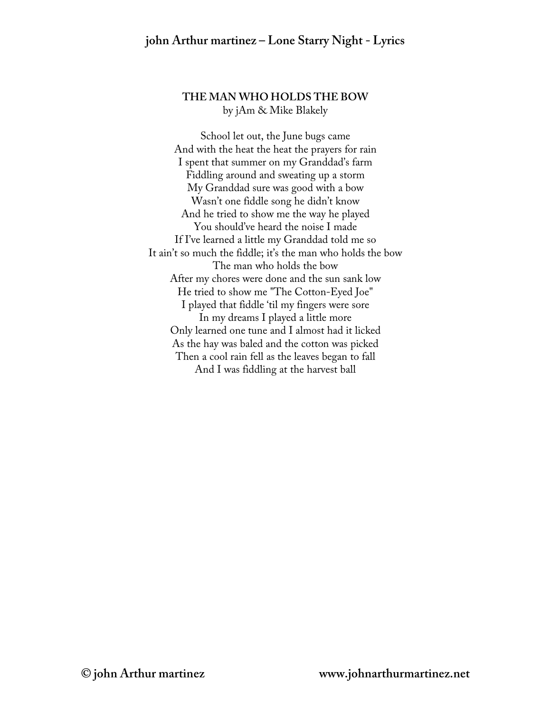## **THE MAN WHO HOLDS THE BOW** by jAm & Mike Blakely

School let out, the June bugs came And with the heat the heat the prayers for rain I spent that summer on my Granddad's farm Fiddling around and sweating up a storm My Granddad sure was good with a bow Wasn't one fiddle song he didn't know And he tried to show me the way he played You should've heard the noise I made If I've learned a little my Granddad told me so It ain't so much the fiddle; it's the man who holds the bow The man who holds the bow After my chores were done and the sun sank low He tried to show me "The Cotton-Eyed Joe" I played that fiddle 'til my fingers were sore In my dreams I played a little more Only learned one tune and I almost had it licked As the hay was baled and the cotton was picked Then a cool rain fell as the leaves began to fall And I was fiddling at the harvest ball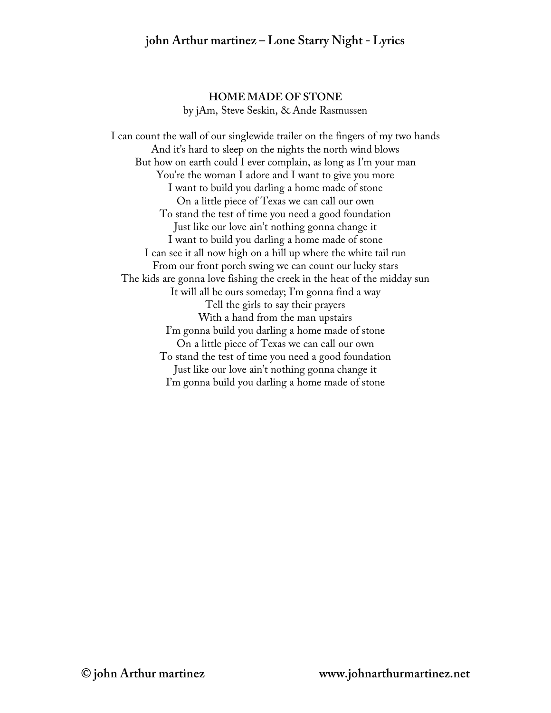**HOME MADE OF STONE** by jAm, Steve Seskin, & Ande Rasmussen

I can count the wall of our singlewide trailer on the fingers of my two hands And it's hard to sleep on the nights the north wind blows But how on earth could I ever complain, as long as I'm your man You're the woman I adore and I want to give you more I want to build you darling a home made of stone On a little piece of Texas we can call our own To stand the test of time you need a good foundation Just like our love ain't nothing gonna change it I want to build you darling a home made of stone I can see it all now high on a hill up where the white tail run From our front porch swing we can count our lucky stars The kids are gonna love fishing the creek in the heat of the midday sun It will all be ours someday; I'm gonna find a way Tell the girls to say their prayers With a hand from the man upstairs I'm gonna build you darling a home made of stone On a little piece of Texas we can call our own To stand the test of time you need a good foundation Just like our love ain't nothing gonna change it I'm gonna build you darling a home made of stone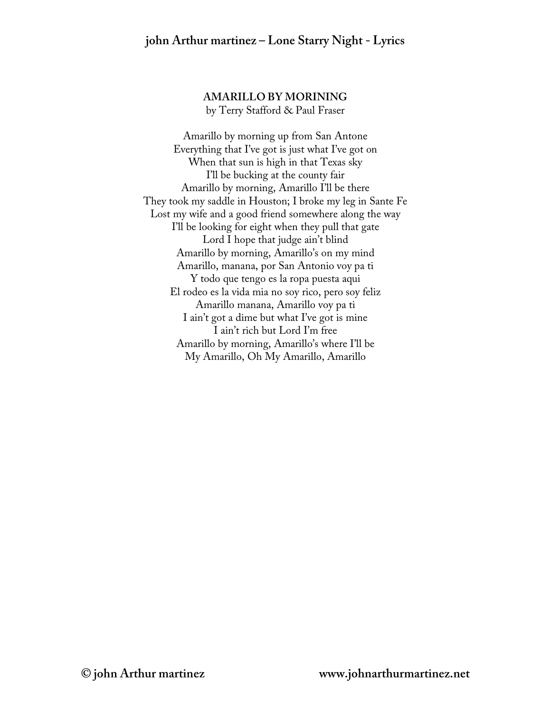#### **AMARILLO BY MORINING** by Terry Stafford & Paul Fraser

Amarillo by morning up from San Antone Everything that I've got is just what I've got on When that sun is high in that Texas sky I'll be bucking at the county fair Amarillo by morning, Amarillo I'll be there They took my saddle in Houston; I broke my leg in Sante Fe Lost my wife and a good friend somewhere along the way I'll be looking for eight when they pull that gate Lord I hope that judge ain't blind Amarillo by morning, Amarillo's on my mind Amarillo, manana, por San Antonio voy pa ti Y todo que tengo es la ropa puesta aqui El rodeo es la vida mia no soy rico, pero soy feliz Amarillo manana, Amarillo voy pa ti I ain't got a dime but what I've got is mine I ain't rich but Lord I'm free Amarillo by morning, Amarillo's where I'll be My Amarillo, Oh My Amarillo, Amarillo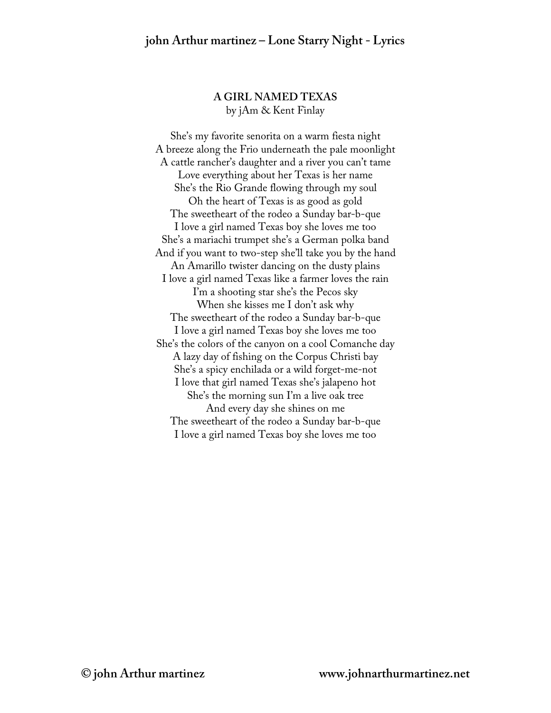#### **A GIRL NAMED TEXAS** by jAm & Kent Finlay

She's my favorite senorita on a warm fiesta night A breeze along the Frio underneath the pale moonlight A cattle rancher's daughter and a river you can't tame Love everything about her Texas is her name She's the Rio Grande flowing through my soul Oh the heart of Texas is as good as gold The sweetheart of the rodeo a Sunday bar-b-que I love a girl named Texas boy she loves me too She's a mariachi trumpet she's a German polka band And if you want to two-step she'll take you by the hand An Amarillo twister dancing on the dusty plains I love a girl named Texas like a farmer loves the rain I'm a shooting star she's the Pecos sky When she kisses me I don't ask why The sweetheart of the rodeo a Sunday bar-b-que I love a girl named Texas boy she loves me too She's the colors of the canyon on a cool Comanche day A lazy day of fishing on the Corpus Christi bay She's a spicy enchilada or a wild forget-me-not I love that girl named Texas she's jalapeno hot She's the morning sun I'm a live oak tree And every day she shines on me The sweetheart of the rodeo a Sunday bar-b-que I love a girl named Texas boy she loves me too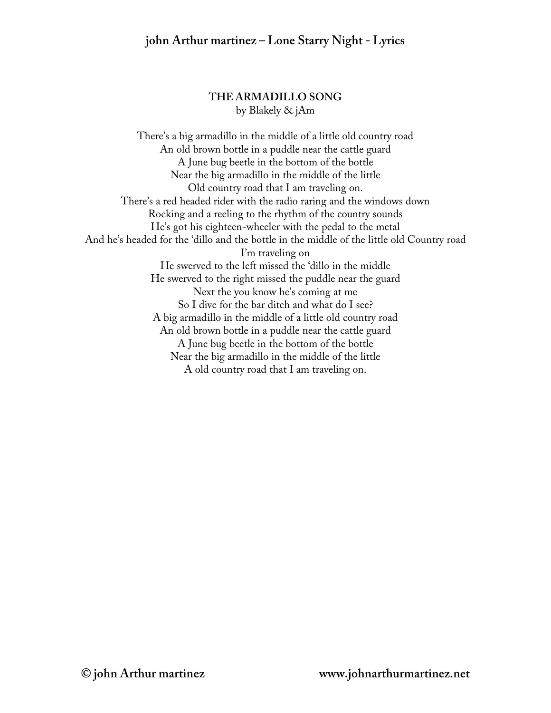## **john Arthur martinez – Lone Starry Night - Lyrics**

### **THE ARMADILLO SONG** by Blakely & jAm

There's a big armadillo in the middle of a little old country road An old brown bottle in a puddle near the cattle guard A June bug beetle in the bottom of the bottle Near the big armadillo in the middle of the little Old country road that I am traveling on. There's a red headed rider with the radio raring and the windows down Rocking and a reeling to the rhythm of the country sounds He's got his eighteen-wheeler with the pedal to the metal And he's headed for the 'dillo and the bottle in the middle of the little old Country road I'm traveling on He swerved to the left missed the 'dillo in the middle He swerved to the right missed the puddle near the guard Next the you know he's coming at me So I dive for the bar ditch and what do I see? A big armadillo in the middle of a little old country road An old brown bottle in a puddle near the cattle guard A June bug beetle in the bottom of the bottle Near the big armadillo in the middle of the little A old country road that I am traveling on.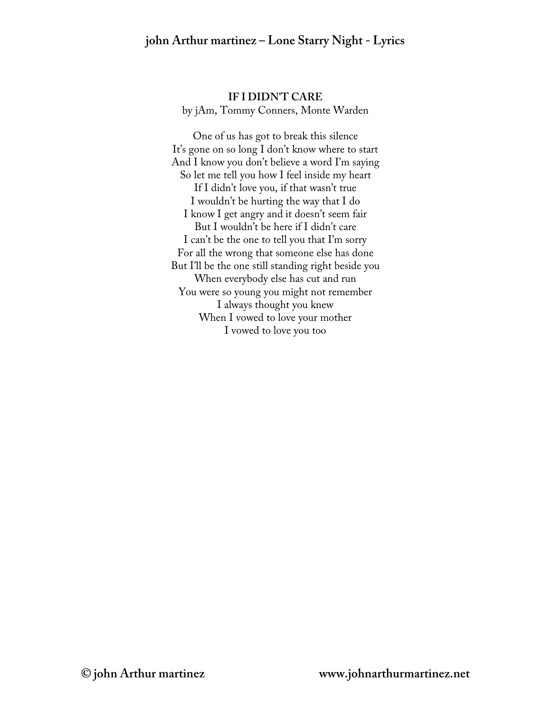**IF I DIDN'T CARE** by jAm, Tommy Conners, Monte Warden

One of us has got to break this silence It's gone on so long I don't know where to start And I know you don't believe a word I'm saying So let me tell you how I feel inside my heart If I didn't love you, if that wasn't true I wouldn't be hurting the way that I do I know I get angry and it doesn't seem fair But I wouldn't be here if I didn't care I can't be the one to tell you that I'm sorry For all the wrong that someone else has done But I'll be the one still standing right beside you When everybody else has cut and run You were so young you might not remember I always thought you knew When I vowed to love your mother I vowed to love you too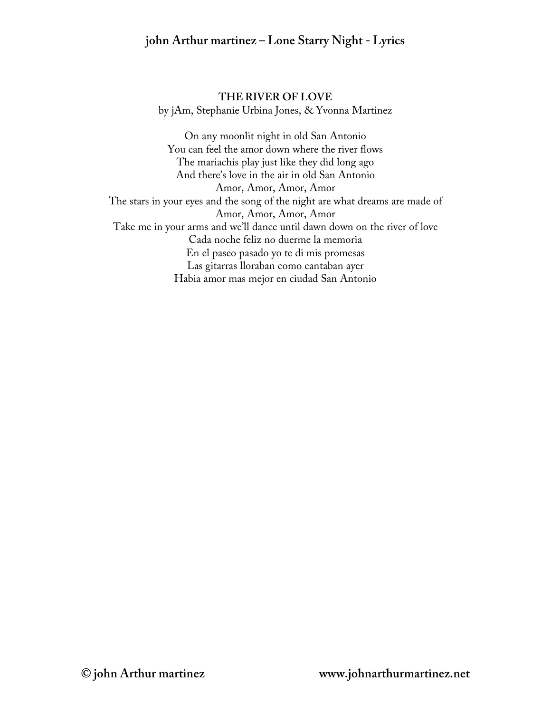# **john Arthur martinez – Lone Starry Night - Lyrics**

**THE RIVER OF LOVE** by jAm, Stephanie Urbina Jones, & Yvonna Martinez

On any moonlit night in old San Antonio You can feel the amor down where the river flows The mariachis play just like they did long ago And there's love in the air in old San Antonio Amor, Amor, Amor, Amor The stars in your eyes and the song of the night are what dreams are made of Amor, Amor, Amor, Amor Take me in your arms and we'll dance until dawn down on the river of love Cada noche feliz no duerme la memoria En el paseo pasado yo te di mis promesas Las gitarras lloraban como cantaban ayer Habia amor mas mejor en ciudad San Antonio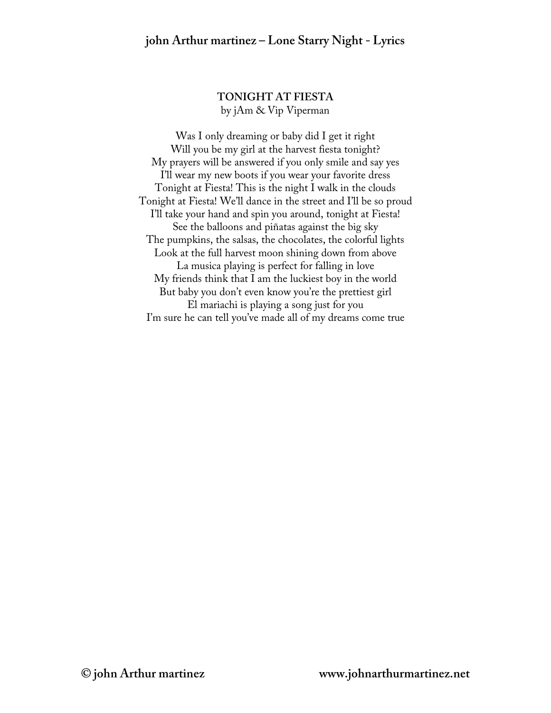### **TONIGHT AT FIESTA** by jAm & Vip Viperman

Was I only dreaming or baby did I get it right Will you be my girl at the harvest fiesta tonight? My prayers will be answered if you only smile and say yes I'll wear my new boots if you wear your favorite dress Tonight at Fiesta! This is the night I walk in the clouds Tonight at Fiesta! We'll dance in the street and I'll be so proud I'll take your hand and spin you around, tonight at Fiesta! See the balloons and piñatas against the big sky The pumpkins, the salsas, the chocolates, the colorful lights Look at the full harvest moon shining down from above La musica playing is perfect for falling in love My friends think that I am the luckiest boy in the world But baby you don't even know you're the prettiest girl El mariachi is playing a song just for you I'm sure he can tell you've made all of my dreams come true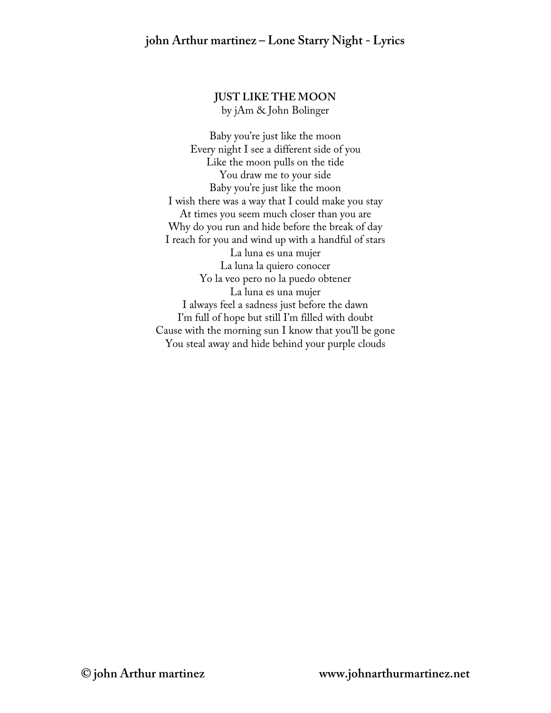### **JUST LIKE THE MOON** by jAm & John Bolinger

Baby you're just like the moon Every night I see a different side of you Like the moon pulls on the tide You draw me to your side Baby you're just like the moon I wish there was a way that I could make you stay At times you seem much closer than you are Why do you run and hide before the break of day I reach for you and wind up with a handful of stars La luna es una mujer La luna la quiero conocer Yo la veo pero no la puedo obtener La luna es una mujer I always feel a sadness just before the dawn I'm full of hope but still I'm filled with doubt Cause with the morning sun I know that you'll be gone You steal away and hide behind your purple clouds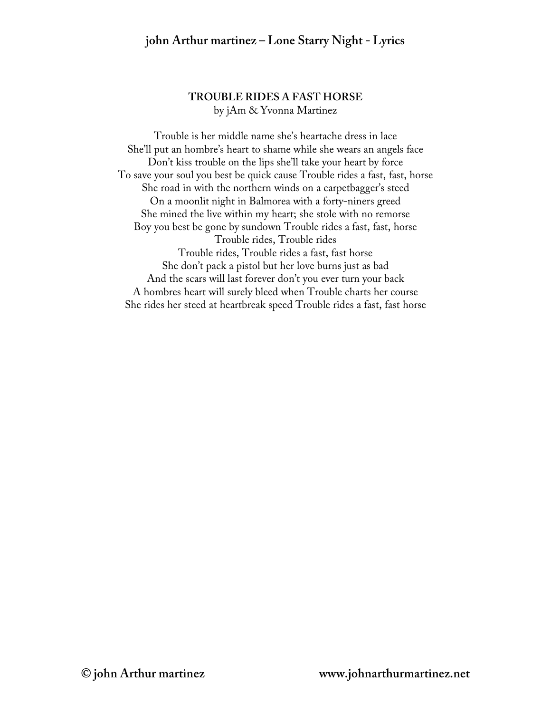### **TROUBLE RIDES A FAST HORSE** by jAm & Yvonna Martinez

Trouble is her middle name she's heartache dress in lace She'll put an hombre's heart to shame while she wears an angels face Don't kiss trouble on the lips she'll take your heart by force To save your soul you best be quick cause Trouble rides a fast, fast, horse She road in with the northern winds on a carpetbagger's steed On a moonlit night in Balmorea with a forty-niners greed She mined the live within my heart; she stole with no remorse Boy you best be gone by sundown Trouble rides a fast, fast, horse Trouble rides, Trouble rides Trouble rides, Trouble rides a fast, fast horse She don't pack a pistol but her love burns just as bad And the scars will last forever don't you ever turn your back A hombres heart will surely bleed when Trouble charts her course She rides her steed at heartbreak speed Trouble rides a fast, fast horse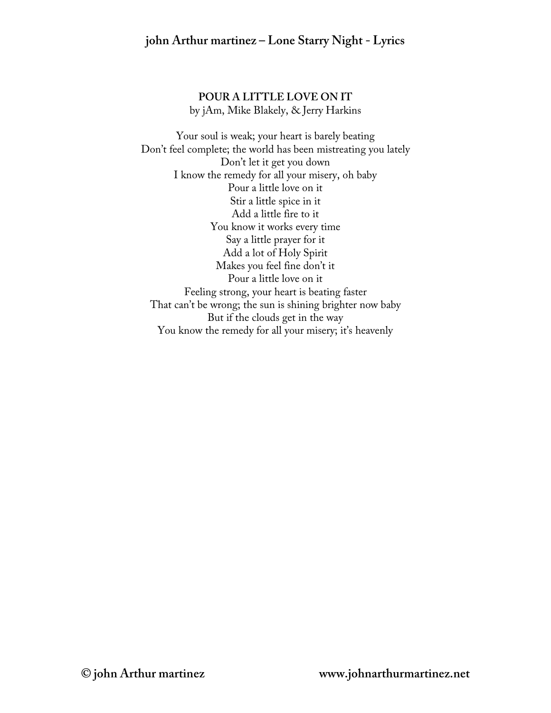# **john Arthur martinez – Lone Starry Night - Lyrics**

**POUR A LITTLE LOVE ON IT** by jAm, Mike Blakely, & Jerry Harkins

Your soul is weak; your heart is barely beating Don't feel complete; the world has been mistreating you lately Don't let it get you down I know the remedy for all your misery, oh baby Pour a little love on it Stir a little spice in it Add a little fire to it You know it works every time Say a little prayer for it Add a lot of Holy Spirit Makes you feel fine don't it Pour a little love on it Feeling strong, your heart is beating faster That can't be wrong; the sun is shining brighter now baby But if the clouds get in the way You know the remedy for all your misery; it's heavenly